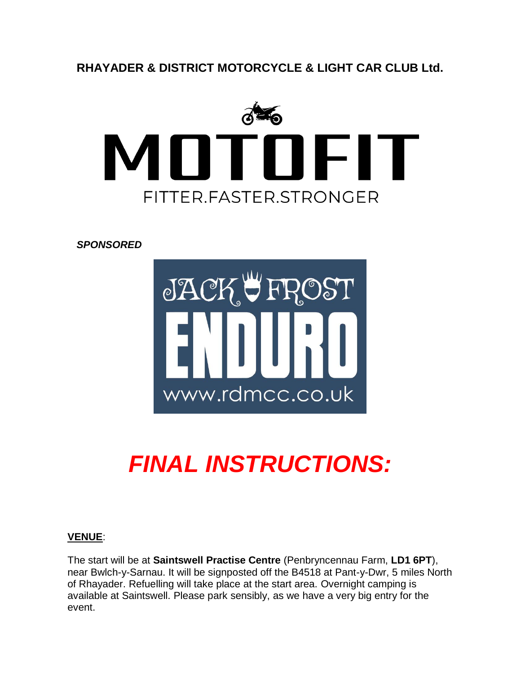**RHAYADER & DISTRICT MOTORCYCLE & LIGHT CAR CLUB Ltd.**



*SPONSORED*



# *FINAL INSTRUCTIONS:*

## **VENUE**:

The start will be at **Saintswell Practise Centre** (Penbryncennau Farm, **LD1 6PT**), near Bwlch-y-Sarnau. It will be signposted off the B4518 at Pant-y-Dwr, 5 miles North of Rhayader. Refuelling will take place at the start area. Overnight camping is available at Saintswell. Please park sensibly, as we have a very big entry for the event.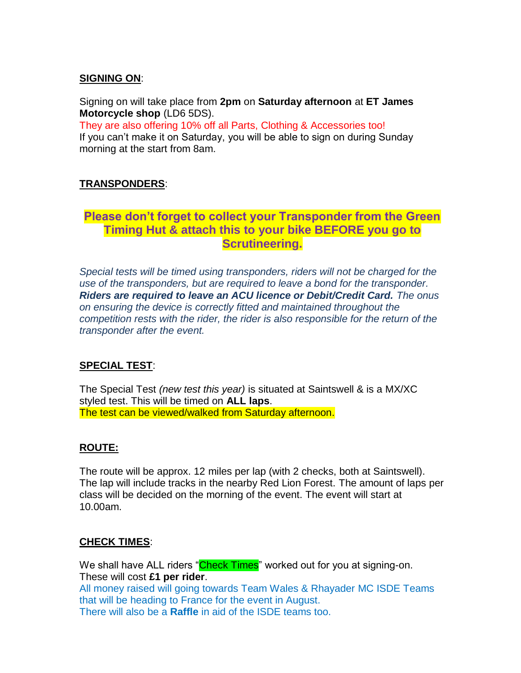#### **SIGNING ON**:

Signing on will take place from **2pm** on **Saturday afternoon** at **ET James Motorcycle shop** (LD6 5DS).

They are also offering 10% off all Parts, Clothing & Accessories too! If you can't make it on Saturday, you will be able to sign on during Sunday morning at the start from 8am.

#### **TRANSPONDERS**:

## **Please don't forget to collect your Transponder from the Green Timing Hut & attach this to your bike BEFORE you go to Scrutineering.**

**SIGNING-ON/SCRUTINEERING:** use of the transponders, but are required to leave a bond for the transponder.<br> **Pulling. 19.30 Riders are required to leave an ACU licence or Debit/Credit Card.** The onus on ensuring the device is correctly fitted and maintained throughout the **used of the set of the set of the set of the set of the set of the set of the set of the set of the set of the set of the set of the set of the set** competition rests with the rider, the rider is also responsible for the return of the *Special tests will be timed using transponders, riders will not be charged for the transponder after the event.*

#### WILL TAKE PLACE BETWEEN 8.15am and 9.15am Sunday morning. ACU ENDUROPEDIA MORNING. ACU ENDUROPEDIA MORTUUS AND **SPECIAL TEST**:

Licenses will be checked at signing-on. **One Event ACU Licenses will also be**  The Special Test *(new test this year)* is situated at Saintswell & is a MX/XC styled test. This will be timed on **ALL laps**. *Special tests will be timed using transponders, riders will not be charged for the*  The test can be viewed/walked from Saturday afternoon.

#### *Riders are required to leave an ACU licence or Debit/Credit Card. The onus on ensuring the device is correctly fitted and maintained throughout the competition*  **ROUTE:**

*rests with the rider, the rider is also responsible for the return of the transponder*  The route will be approx. 12 miles per lap (with 2 checks, both at Saintswell). class will be decided on the morning of the event. The event will start at **SIGNING ON**: 10.00am. The lap will include tracks in the nearby Red Lion Forest. The amount of laps per

#### Signing on will take place from **2pm** on **Saturday afternoon** at **ET James**   $**CHECK** **TIMES**:$ </u>

 $T$  are also offering the all Parts, Clothing  $T$  and  $T$  and  $T$  all Parts, Clothing too. We shall have ALL riders "Check Times" worked out for you at signing-on. These will cost **£1 per rider**. that will be heading to France for the event in August. All money raised will going towards Team Wales & Rhayader MC ISDE Teams There will also be a **Raffle** in aid of the ISDE teams too.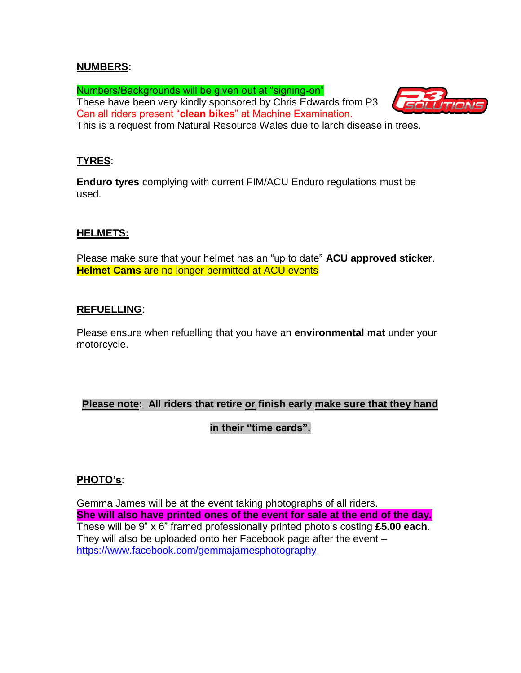#### **NUMBERS:**

Numbers/Backgrounds will be given out at "signing-on" These have been very kindly sponsored by Chris Edwards from P3 Can all riders present "**clean bikes**" at Machine Examination.



This is a request from Natural Resource Wales due to larch disease in trees.

#### **TYRES**:

**Enduro tyres** complying with current FIM/ACU Enduro regulations must be used.

#### **HELMETS:**

Please make sure that your helmet has an "up to date" **ACU approved sticker**. **Helmet Cams** are no longer permitted at ACU events

#### **REFUELLING**:

Please ensure when refuelling that you have an **environmental mat** under your motorcycle.

#### **Please note: All riders that retire or finish early make sure that they hand**

## **in their "time cards".**

#### **PHOTO's**:

Gemma James will be at the event taking photographs of all riders. **She will also have printed ones of the event for sale at the end of the day.** These will be 9" x 6" framed professionally printed photo's costing **£5.00 each**. They will also be uploaded onto her Facebook page after the event – <https://www.facebook.com/gemmajamesphotography>